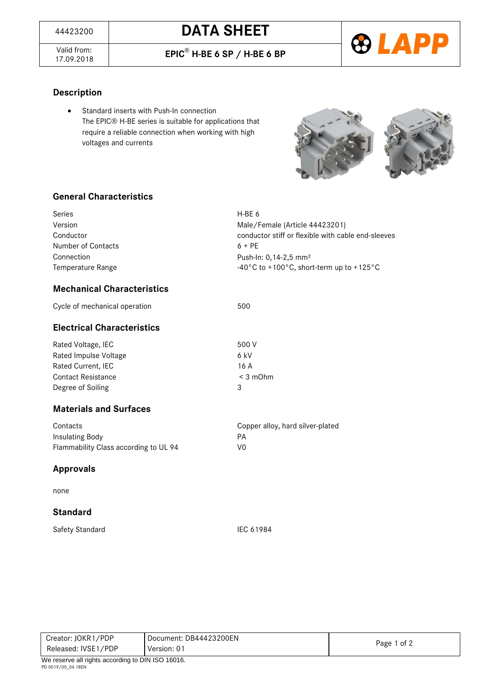Valid from:<br>17.09.2018

17.09.2018 **EPIC**® **H-BE 6 SP / H-BE 6 BP**



#### **Description**

 Standard inserts with Push-In connection The EPIC® H-BE series is suitable for applications that require a reliable connection when working with high voltages and currents



#### **General Characteristics**

| Series                            | H-BE 6                                                                   |
|-----------------------------------|--------------------------------------------------------------------------|
| Version                           | Male/Female (Article 44423201)                                           |
| Conductor                         | conductor stiff or flexible with cable end-sleeves                       |
| Number of Contacts                | $6 + PF$                                                                 |
| Connection                        | Push-In: 0, 14-2, 5 mm <sup>2</sup>                                      |
| Temperature Range                 | $-40^{\circ}$ C to +100 $^{\circ}$ C, short-term up to +125 $^{\circ}$ C |
| <b>Mechanical Characteristics</b> |                                                                          |

# Cycle of mechanical operation 600

# **Electrical Characteristics**

| Rated Voltage, IEC        | 500 V      |
|---------------------------|------------|
| Rated Impulse Voltage     | 6 kV       |
| Rated Current, IEC        | 16 A       |
| <b>Contact Resistance</b> | $<$ 3 mOhm |
| Degree of Soiling         | ર          |

#### **Materials and Surfaces**

| Contacts                              | Copper alloy, hard silver-plated |
|---------------------------------------|----------------------------------|
| Insulating Body                       | PА                               |
| Flammability Class according to UL 94 | V0                               |

#### **Approvals**

none

#### **Standard**

Safety Standard IEC 61984

Creator: JOKR1/PDP Released: IVSE1/PDP Document: DB44423200EN Version: 01 Page 1 of 2